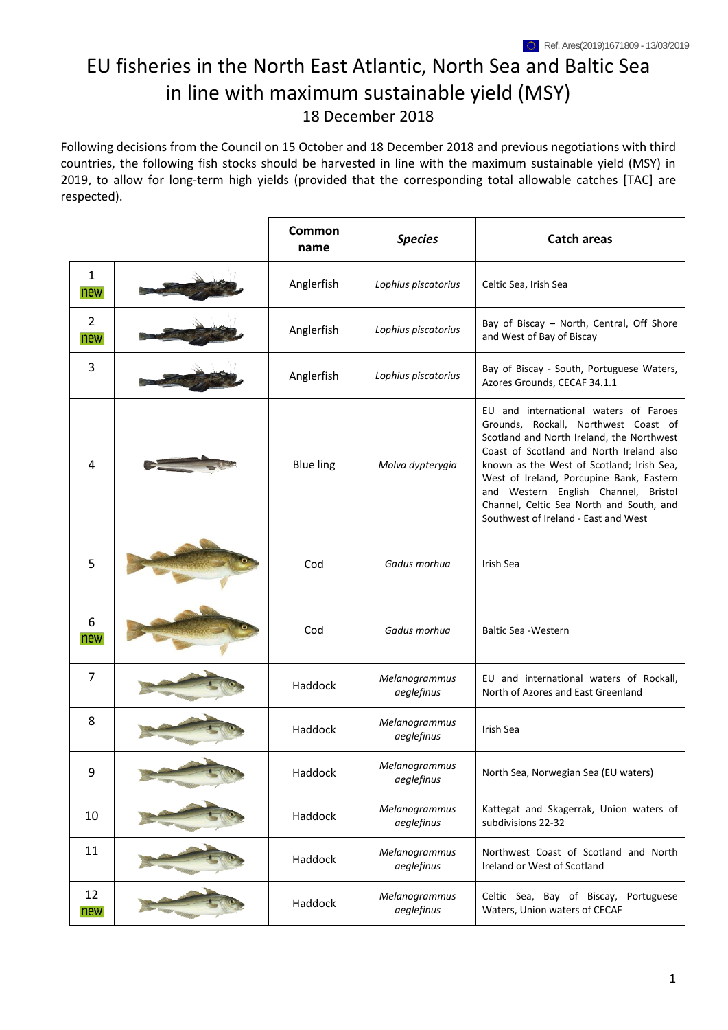## EU fisheries in the North East Atlantic, North Sea and Baltic Sea in line with maximum sustainable yield (MSY) 18 December 2018

Following decisions from the Council on 15 October and 18 December 2018 and previous negotiations with third countries, the following fish stocks should be harvested in line with the maximum sustainable yield (MSY) in 2019, to allow for long-term high yields (provided that the corresponding total allowable catches [TAC] are respected).

|                       | Common<br>name   | <b>Species</b>              | <b>Catch areas</b>                                                                                                                                                                                                                                                                                                                                                                          |
|-----------------------|------------------|-----------------------------|---------------------------------------------------------------------------------------------------------------------------------------------------------------------------------------------------------------------------------------------------------------------------------------------------------------------------------------------------------------------------------------------|
| $\mathbf{1}$<br>new   | Anglerfish       | Lophius piscatorius         | Celtic Sea, Irish Sea                                                                                                                                                                                                                                                                                                                                                                       |
| $\overline{2}$<br>new | Anglerfish       | Lophius piscatorius         | Bay of Biscay - North, Central, Off Shore<br>and West of Bay of Biscay                                                                                                                                                                                                                                                                                                                      |
| 3                     | Anglerfish       | Lophius piscatorius         | Bay of Biscay - South, Portuguese Waters,<br>Azores Grounds, CECAF 34.1.1                                                                                                                                                                                                                                                                                                                   |
| 4                     | <b>Blue ling</b> | Molva dypterygia            | EU and international waters of Faroes<br>Grounds, Rockall, Northwest Coast of<br>Scotland and North Ireland, the Northwest<br>Coast of Scotland and North Ireland also<br>known as the West of Scotland; Irish Sea,<br>West of Ireland, Porcupine Bank, Eastern<br>and Western English Channel, Bristol<br>Channel, Celtic Sea North and South, and<br>Southwest of Ireland - East and West |
| 5                     | Cod              | Gadus morhua                | Irish Sea                                                                                                                                                                                                                                                                                                                                                                                   |
| 6<br>new              | Cod              | Gadus morhua                | <b>Baltic Sea - Western</b>                                                                                                                                                                                                                                                                                                                                                                 |
| $\overline{7}$        | Haddock          | Melanogrammus<br>aeglefinus | EU and international waters of Rockall,<br>North of Azores and East Greenland                                                                                                                                                                                                                                                                                                               |
| 8                     | Haddock          | Melanogrammus<br>aeglefinus | Irish Sea                                                                                                                                                                                                                                                                                                                                                                                   |
| 9                     | Haddock          | Melanogrammus<br>aeglefinus | North Sea, Norwegian Sea (EU waters)                                                                                                                                                                                                                                                                                                                                                        |
| 10                    | Haddock          | Melanogrammus<br>aeglefinus | Kattegat and Skagerrak, Union waters of<br>subdivisions 22-32                                                                                                                                                                                                                                                                                                                               |
| 11                    | Haddock          | Melanogrammus<br>aeglefinus | Northwest Coast of Scotland and North<br>Ireland or West of Scotland                                                                                                                                                                                                                                                                                                                        |
| 12<br>new             | Haddock          | Melanogrammus<br>aeglefinus | Celtic Sea, Bay of Biscay, Portuguese<br>Waters, Union waters of CECAF                                                                                                                                                                                                                                                                                                                      |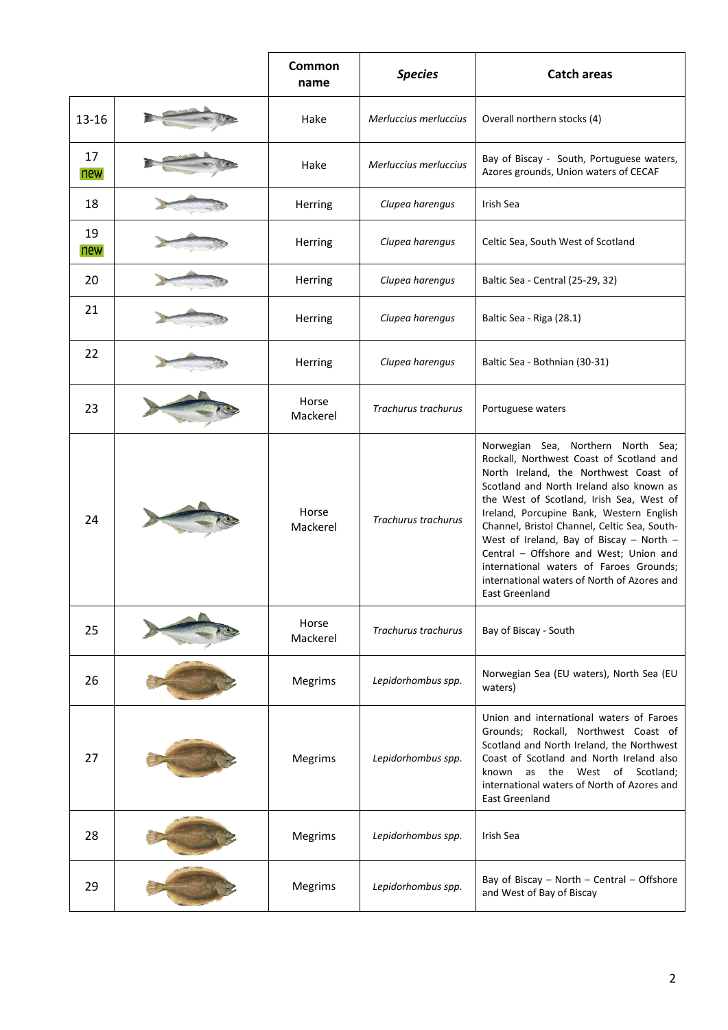|           | Common<br>name    | <b>Species</b>             | <b>Catch areas</b>                                                                                                                                                                                                                                                                                                                                                                                                                                                                                            |
|-----------|-------------------|----------------------------|---------------------------------------------------------------------------------------------------------------------------------------------------------------------------------------------------------------------------------------------------------------------------------------------------------------------------------------------------------------------------------------------------------------------------------------------------------------------------------------------------------------|
| 13-16     | Hake              | Merluccius merluccius      | Overall northern stocks (4)                                                                                                                                                                                                                                                                                                                                                                                                                                                                                   |
| 17<br>new | Hake              | Merluccius merluccius      | Bay of Biscay - South, Portuguese waters,<br>Azores grounds, Union waters of CECAF                                                                                                                                                                                                                                                                                                                                                                                                                            |
| 18        | Herring           | Clupea harengus            | Irish Sea                                                                                                                                                                                                                                                                                                                                                                                                                                                                                                     |
| 19<br>new | Herring           | Clupea harengus            | Celtic Sea, South West of Scotland                                                                                                                                                                                                                                                                                                                                                                                                                                                                            |
| 20        | Herring           | Clupea harengus            | Baltic Sea - Central (25-29, 32)                                                                                                                                                                                                                                                                                                                                                                                                                                                                              |
| 21        | Herring           | Clupea harengus            | Baltic Sea - Riga (28.1)                                                                                                                                                                                                                                                                                                                                                                                                                                                                                      |
| 22        | Herring           | Clupea harengus            | Baltic Sea - Bothnian (30-31)                                                                                                                                                                                                                                                                                                                                                                                                                                                                                 |
| 23        | Horse<br>Mackerel | <b>Trachurus trachurus</b> | Portuguese waters                                                                                                                                                                                                                                                                                                                                                                                                                                                                                             |
| 24        | Horse<br>Mackerel | <b>Trachurus trachurus</b> | Norwegian Sea, Northern North Sea;<br>Rockall, Northwest Coast of Scotland and<br>North Ireland, the Northwest Coast of<br>Scotland and North Ireland also known as<br>the West of Scotland, Irish Sea, West of<br>Ireland, Porcupine Bank, Western English<br>Channel, Bristol Channel, Celtic Sea, South-<br>West of Ireland, Bay of Biscay - North -<br>Central - Offshore and West; Union and<br>international waters of Faroes Grounds;<br>international waters of North of Azores and<br>East Greenland |
| 25        | Horse<br>Mackerel | <b>Trachurus trachurus</b> | Bay of Biscay - South                                                                                                                                                                                                                                                                                                                                                                                                                                                                                         |
| 26        | Megrims           | Lepidorhombus spp.         | Norwegian Sea (EU waters), North Sea (EU<br>waters)                                                                                                                                                                                                                                                                                                                                                                                                                                                           |
| 27        | Megrims           | Lepidorhombus spp.         | Union and international waters of Faroes<br>Grounds; Rockall, Northwest Coast of<br>Scotland and North Ireland, the Northwest<br>Coast of Scotland and North Ireland also<br>known as the West of Scotland;<br>international waters of North of Azores and<br><b>East Greenland</b>                                                                                                                                                                                                                           |
| 28        | Megrims           | Lepidorhombus spp.         | Irish Sea                                                                                                                                                                                                                                                                                                                                                                                                                                                                                                     |
| 29        | Megrims           | Lepidorhombus spp.         | Bay of Biscay - North - Central - Offshore<br>and West of Bay of Biscay                                                                                                                                                                                                                                                                                                                                                                                                                                       |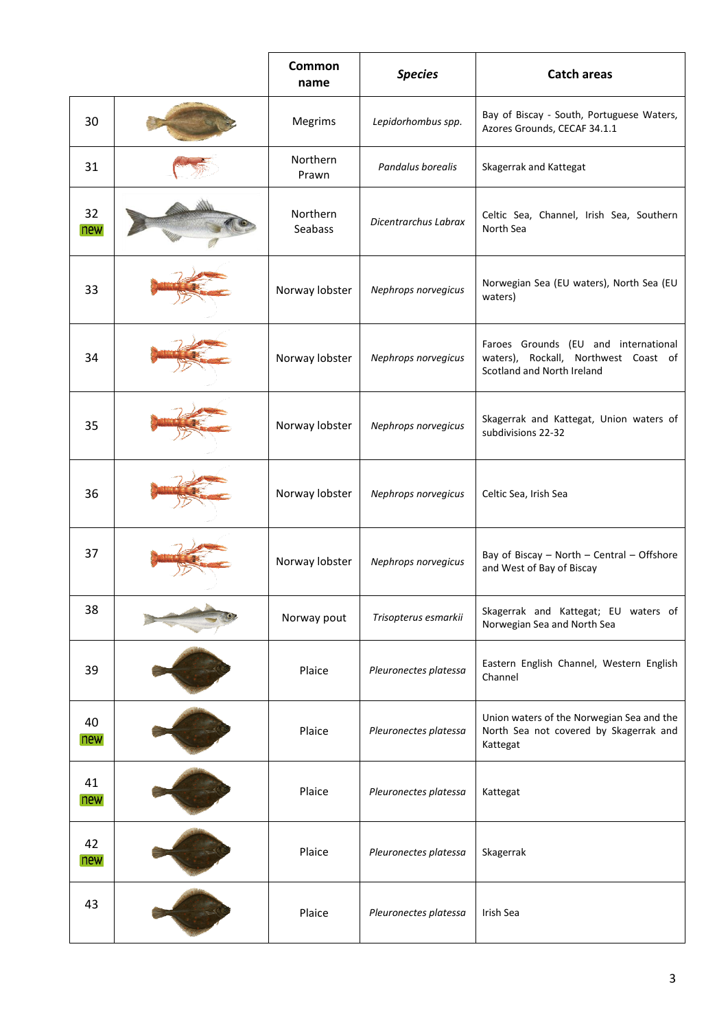|           | Common<br>name      | <b>Species</b>        | <b>Catch areas</b>                                                                                         |
|-----------|---------------------|-----------------------|------------------------------------------------------------------------------------------------------------|
| 30        | Megrims             | Lepidorhombus spp.    | Bay of Biscay - South, Portuguese Waters,<br>Azores Grounds, CECAF 34.1.1                                  |
| 31        | Northern<br>Prawn   | Pandalus borealis     | Skagerrak and Kattegat                                                                                     |
| 32<br>new | Northern<br>Seabass | Dicentrarchus Labrax  | Celtic Sea, Channel, Irish Sea, Southern<br>North Sea                                                      |
| 33        | Norway lobster      | Nephrops norvegicus   | Norwegian Sea (EU waters), North Sea (EU<br>waters)                                                        |
| 34        | Norway lobster      | Nephrops norvegicus   | Faroes Grounds (EU and international<br>waters), Rockall, Northwest Coast of<br>Scotland and North Ireland |
| 35        | Norway lobster      | Nephrops norvegicus   | Skagerrak and Kattegat, Union waters of<br>subdivisions 22-32                                              |
| 36        | Norway lobster      | Nephrops norvegicus   | Celtic Sea, Irish Sea                                                                                      |
| 37        | Norway lobster      | Nephrops norvegicus   | Bay of Biscay - North - Central - Offshore<br>and West of Bay of Biscay                                    |
| 38        | Norway pout         | Trisopterus esmarkii  | Skagerrak and Kattegat; EU waters of<br>Norwegian Sea and North Sea                                        |
| 39        | Plaice              | Pleuronectes platessa | Eastern English Channel, Western English<br>Channel                                                        |
| 40<br>new | Plaice              | Pleuronectes platessa | Union waters of the Norwegian Sea and the<br>North Sea not covered by Skagerrak and<br>Kattegat            |
| 41<br>new | Plaice              | Pleuronectes platessa | Kattegat                                                                                                   |
| 42<br>new | Plaice              | Pleuronectes platessa | Skagerrak                                                                                                  |
| 43        | Plaice              | Pleuronectes platessa | Irish Sea                                                                                                  |